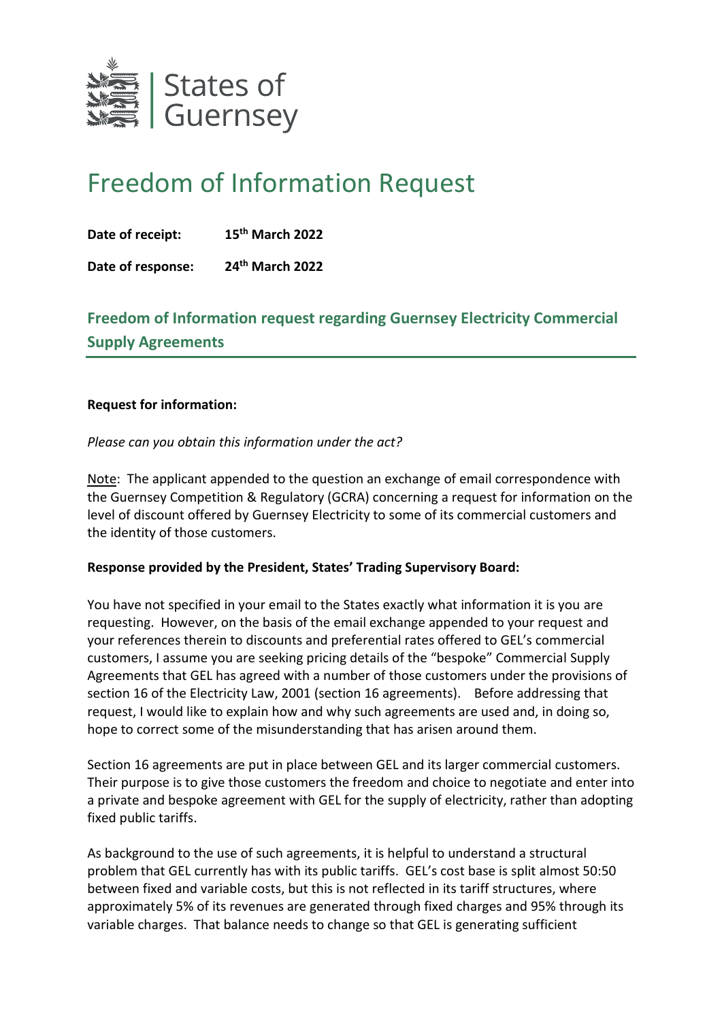

## Freedom of Information Request

**Date of receipt: 15th March 2022**

**Date of response: 24th March 2022**

## **Freedom of Information request regarding Guernsey Electricity Commercial Supply Agreements**

## **Request for information:**

*Please can you obtain this information under the act?*

Note: The applicant appended to the question an exchange of email correspondence with the Guernsey Competition & Regulatory (GCRA) concerning a request for information on the level of discount offered by Guernsey Electricity to some of its commercial customers and the identity of those customers.

## **Response provided by the President, States' Trading Supervisory Board:**

You have not specified in your email to the States exactly what information it is you are requesting. However, on the basis of the email exchange appended to your request and your references therein to discounts and preferential rates offered to GEL's commercial customers, I assume you are seeking pricing details of the "bespoke" Commercial Supply Agreements that GEL has agreed with a number of those customers under the provisions of section 16 of the Electricity Law, 2001 (section 16 agreements). Before addressing that request, I would like to explain how and why such agreements are used and, in doing so, hope to correct some of the misunderstanding that has arisen around them.

Section 16 agreements are put in place between GEL and its larger commercial customers. Their purpose is to give those customers the freedom and choice to negotiate and enter into a private and bespoke agreement with GEL for the supply of electricity, rather than adopting fixed public tariffs.

As background to the use of such agreements, it is helpful to understand a structural problem that GEL currently has with its public tariffs. GEL's cost base is split almost 50:50 between fixed and variable costs, but this is not reflected in its tariff structures, where approximately 5% of its revenues are generated through fixed charges and 95% through its variable charges. That balance needs to change so that GEL is generating sufficient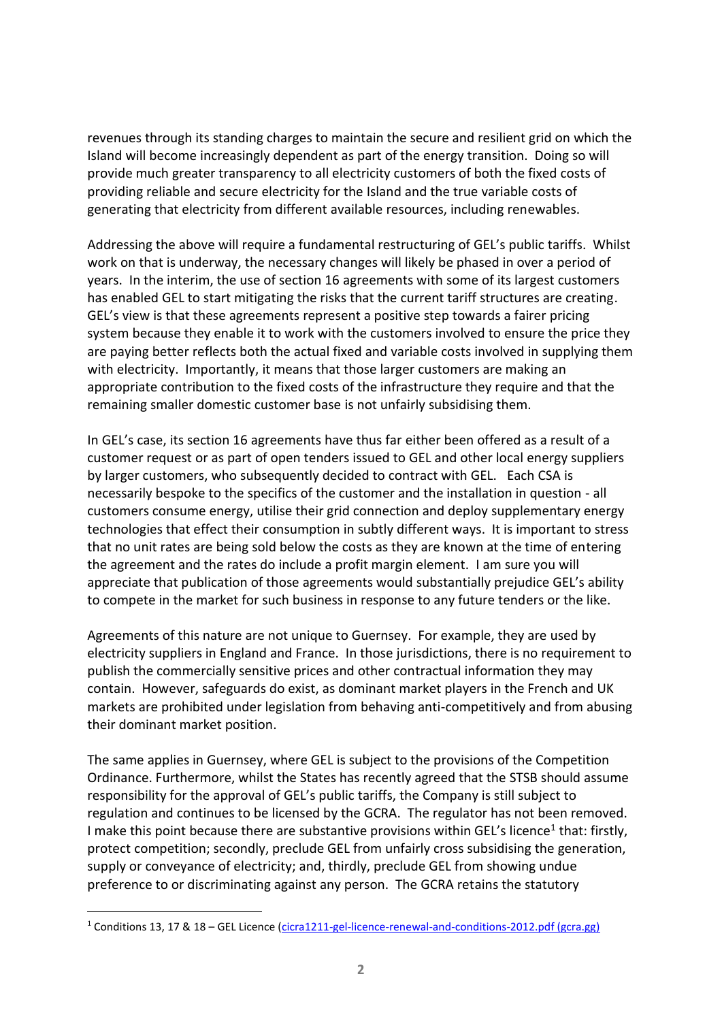revenues through its standing charges to maintain the secure and resilient grid on which the Island will become increasingly dependent as part of the energy transition. Doing so will provide much greater transparency to all electricity customers of both the fixed costs of providing reliable and secure electricity for the Island and the true variable costs of generating that electricity from different available resources, including renewables.

Addressing the above will require a fundamental restructuring of GEL's public tariffs. Whilst work on that is underway, the necessary changes will likely be phased in over a period of years. In the interim, the use of section 16 agreements with some of its largest customers has enabled GEL to start mitigating the risks that the current tariff structures are creating. GEL's view is that these agreements represent a positive step towards a fairer pricing system because they enable it to work with the customers involved to ensure the price they are paying better reflects both the actual fixed and variable costs involved in supplying them with electricity. Importantly, it means that those larger customers are making an appropriate contribution to the fixed costs of the infrastructure they require and that the remaining smaller domestic customer base is not unfairly subsidising them.

In GEL's case, its section 16 agreements have thus far either been offered as a result of a customer request or as part of open tenders issued to GEL and other local energy suppliers by larger customers, who subsequently decided to contract with GEL. Each CSA is necessarily bespoke to the specifics of the customer and the installation in question - all customers consume energy, utilise their grid connection and deploy supplementary energy technologies that effect their consumption in subtly different ways. It is important to stress that no unit rates are being sold below the costs as they are known at the time of entering the agreement and the rates do include a profit margin element. I am sure you will appreciate that publication of those agreements would substantially prejudice GEL's ability to compete in the market for such business in response to any future tenders or the like.

Agreements of this nature are not unique to Guernsey. For example, they are used by electricity suppliers in England and France. In those jurisdictions, there is no requirement to publish the commercially sensitive prices and other contractual information they may contain. However, safeguards do exist, as dominant market players in the French and UK markets are prohibited under legislation from behaving anti-competitively and from abusing their dominant market position.

The same applies in Guernsey, where GEL is subject to the provisions of the Competition Ordinance. Furthermore, whilst the States has recently agreed that the STSB should assume responsibility for the approval of GEL's public tariffs, the Company is still subject to regulation and continues to be licensed by the GCRA. The regulator has not been removed. I make this point because there are substantive provisions within GEL's licence<sup>1</sup> that: firstly, protect competition; secondly, preclude GEL from unfairly cross subsidising the generation, supply or conveyance of electricity; and, thirdly, preclude GEL from showing undue preference to or discriminating against any person. The GCRA retains the statutory

<sup>&</sup>lt;sup>1</sup> Conditions 13, 17 & 18 – GEL Licence [\(cicra1211-gel-licence-renewal-and-conditions-2012.pdf \(gcra.gg\)](https://www.gcra.gg/media/2960/cicra1211-gel-licence-renewal-and-conditions-2012.pdf)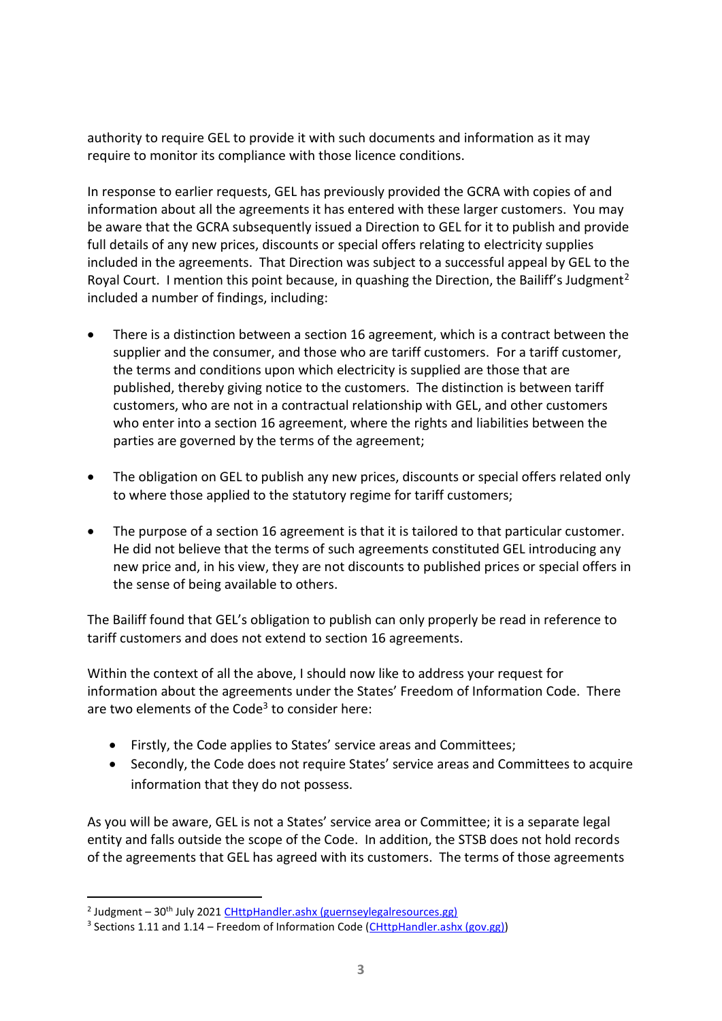authority to require GEL to provide it with such documents and information as it may require to monitor its compliance with those licence conditions.

In response to earlier requests, GEL has previously provided the GCRA with copies of and information about all the agreements it has entered with these larger customers. You may be aware that the GCRA subsequently issued a Direction to GEL for it to publish and provide full details of any new prices, discounts or special offers relating to electricity supplies included in the agreements. That Direction was subject to a successful appeal by GEL to the Royal Court. I mention this point because, in quashing the Direction, the Bailiff's Judgment<sup>2</sup> included a number of findings, including:

- There is a distinction between a section 16 agreement, which is a contract between the supplier and the consumer, and those who are tariff customers. For a tariff customer, the terms and conditions upon which electricity is supplied are those that are published, thereby giving notice to the customers. The distinction is between tariff customers, who are not in a contractual relationship with GEL, and other customers who enter into a section 16 agreement, where the rights and liabilities between the parties are governed by the terms of the agreement;
- The obligation on GEL to publish any new prices, discounts or special offers related only to where those applied to the statutory regime for tariff customers;
- The purpose of a section 16 agreement is that it is tailored to that particular customer. He did not believe that the terms of such agreements constituted GEL introducing any new price and, in his view, they are not discounts to published prices or special offers in the sense of being available to others.

The Bailiff found that GEL's obligation to publish can only properly be read in reference to tariff customers and does not extend to section 16 agreements.

Within the context of all the above, I should now like to address your request for information about the agreements under the States' Freedom of Information Code. There are two elements of the Code<sup>3</sup> to consider here:

- Firstly, the Code applies to States' service areas and Committees;
- Secondly, the Code does not require States' service areas and Committees to acquire information that they do not possess.

As you will be aware, GEL is not a States' service area or Committee; it is a separate legal entity and falls outside the scope of the Code. In addition, the STSB does not hold records of the agreements that GEL has agreed with its customers. The terms of those agreements

<sup>&</sup>lt;sup>2</sup> Judgment – 30<sup>th</sup> July 2021 [CHttpHandler.ashx \(guernseylegalresources.gg\)](https://www.guernseylegalresources.gg/CHttpHandler.ashx?documentid=82651)

<sup>&</sup>lt;sup>3</sup> Sections 1.11 and 1.14 - Freedom of Information Code [\(CHttpHandler.ashx \(gov.gg\)\)](https://www.gov.gg/CHttpHandler.ashx?id=149645&p=0)